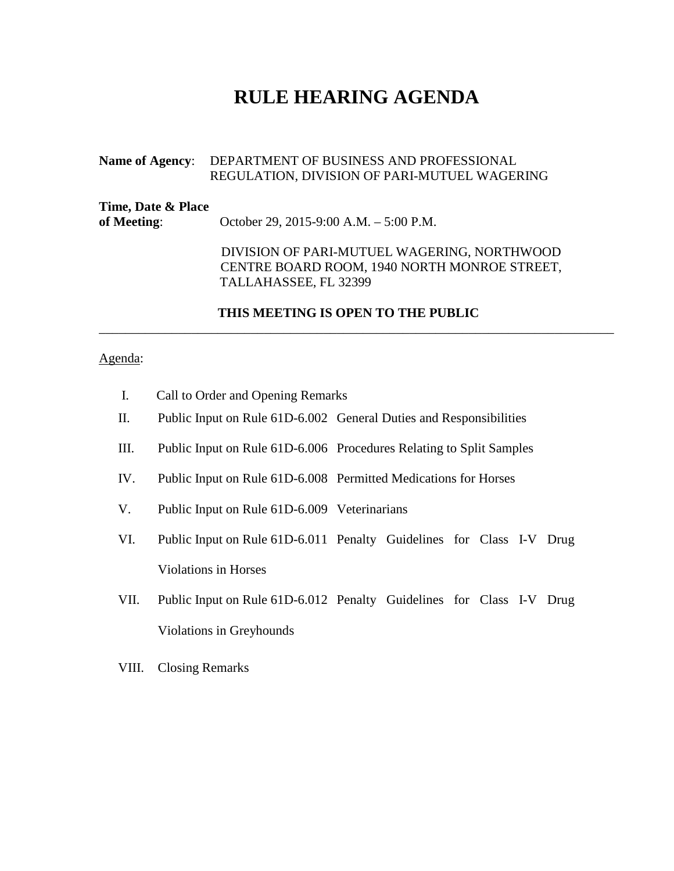# **RULE HEARING AGENDA**

#### **Name of Agency**: DEPARTMENT OF BUSINESS AND PROFESSIONAL REGULATION, DIVISION OF PARI-MUTUEL WAGERING

| Time, Date & Place<br>of Meeting: | October 29, 2015-9:00 A.M. $-$ 5:00 P.M.                                                                             |
|-----------------------------------|----------------------------------------------------------------------------------------------------------------------|
|                                   | DIVISION OF PARI-MUTUEL WAGERING, NORTHWOOD<br>CENTRE BOARD ROOM, 1940 NORTH MONROE STREET,<br>TALLAHASSEE, FL 32399 |

#### **THIS MEETING IS OPEN TO THE PUBLIC**

\_\_\_\_\_\_\_\_\_\_\_\_\_\_\_\_\_\_\_\_\_\_\_\_\_\_\_\_\_\_\_\_\_\_\_\_\_\_\_\_\_\_\_\_\_\_\_\_\_\_\_\_\_\_\_\_\_\_\_\_\_\_\_\_\_\_\_\_\_\_\_\_\_\_\_\_\_\_

#### Agenda:

- I. Call to Order and Opening Remarks
- II. Public Input on Rule 61D-6.002 General Duties and Responsibilities
- III. Public Input on Rule 61D-6.006 Procedures Relating to Split Samples
- IV. Public Input on Rule 61D-6.008 Permitted Medications for Horses
- V. Public Input on Rule 61D-6.009 Veterinarians
- VI. Public Input on Rule 61D-6.011 Penalty Guidelines for Class I-V Drug Violations in Horses
- VII. Public Input on Rule 61D-6.012 Penalty Guidelines for Class I-V Drug Violations in Greyhounds
- VIII. Closing Remarks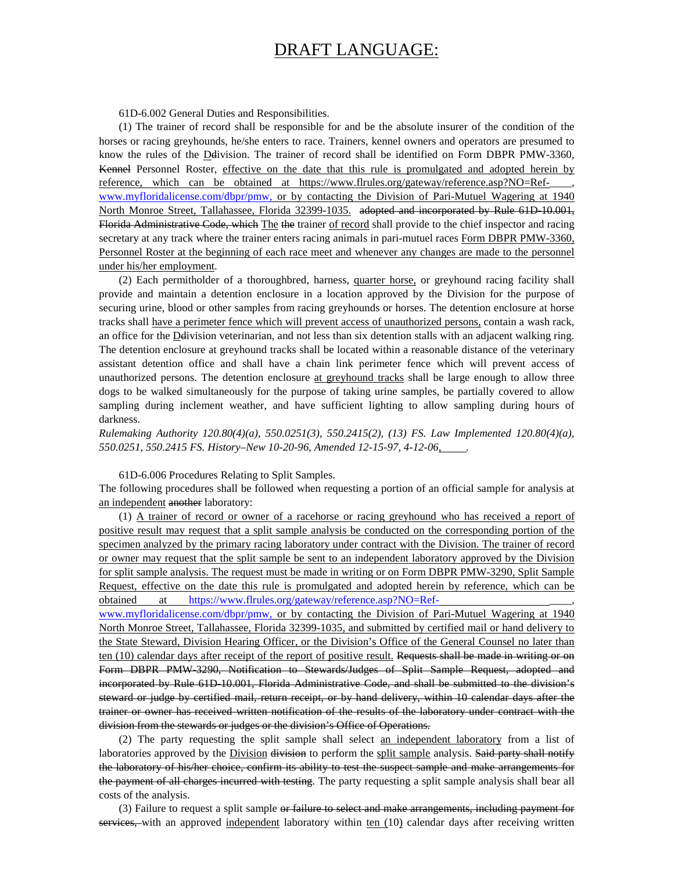## DRAFT LANGUAGE:

61D-6.002 General Duties and Responsibilities.

(1) The trainer of record shall be responsible for and be the absolute insurer of the condition of the horses or racing greyhounds, he/she enters to race. Trainers, kennel owners and operators are presumed to know the rules of the Delivision. The trainer of record shall be identified on Form DBPR PMW-3360, Kennel Personnel Roster, effective on the date that this rule is promulgated and adopted herein by reference, which can be obtained at https://www.flrules.org/gateway/reference.asp?NO=Ref[www.myfloridalicense.com/dbpr/pmw,](http://www.myfloridalicense.com/dbpr/pmw) or by contacting the Division of Pari-Mutuel Wagering at 1940 North Monroe Street, Tallahassee, Florida 32399-1035. adopted and incorporated by Rule 61D 10.001, Florida Administrative Code, which The the trainer of record shall provide to the chief inspector and racing secretary at any track where the trainer enters racing animals in pari-mutuel races Form DBPR PMW-3360, Personnel Roster at the beginning of each race meet and whenever any changes are made to the personnel under his/her employment.

(2) Each permitholder of a thoroughbred, harness, quarter horse, or greyhound racing facility shall provide and maintain a detention enclosure in a location approved by the Division for the purpose of securing urine, blood or other samples from racing greyhounds or horses. The detention enclosure at horse tracks shall have a perimeter fence which will prevent access of unauthorized persons, contain a wash rack, an office for the Delivision veterinarian, and not less than six detention stalls with an adjacent walking ring. The detention enclosure at greyhound tracks shall be located within a reasonable distance of the veterinary assistant detention office and shall have a chain link perimeter fence which will prevent access of unauthorized persons. The detention enclosure at greyhound tracks shall be large enough to allow three dogs to be walked simultaneously for the purpose of taking urine samples, be partially covered to allow sampling during inclement weather, and have sufficient lighting to allow sampling during hours of darkness.

*Rulemaking Authority 120.80(4)(a), 550.0251(3), 550.2415(2), (13) FS. Law Implemented 120.80(4)(a), 550.0251, 550.2415 FS. History–New 10-20-96, Amended 12-15-97, 4-12-06, .*

61D-6.006 Procedures Relating to Split Samples.

The following procedures shall be followed when requesting a portion of an official sample for analysis at an independent another laboratory:

(1) A trainer of record or owner of a racehorse or racing greyhound who has received a report of positive result may request that a split sample analysis be conducted on the corresponding portion of the specimen analyzed by the primary racing laboratory under contract with the Division. The trainer of record or owner may request that the split sample be sent to an independent laboratory approved by the Division for split sample analysis. The request must be made in writing or on Form DBPR PMW-3290, Split Sample Request, effective on the date this rule is promulgated and adopted herein by reference, which can be obtained at https://www.flrules.org/gateway/reference.asp?NO=Ref-

[www.myfloridalicense.com/dbpr/pmw,](http://www.myfloridalicense.com/dbpr/pmw) or by contacting the Division of Pari-Mutuel Wagering at 1940 North Monroe Street, Tallahassee, Florida 32399-1035, and submitted by certified mail or hand delivery to the State Steward, Division Hearing Officer, or the Division's Office of the General Counsel no later than ten (10) calendar days after receipt of the report of positive result. Requests shall be made in writing or on Form DBPR PMW-3290, Notification to Stewards/Judges of Split Sample Request, adopted and incorporated by Rule 61D-10.001, Florida Administrative Code, and shall be submitted to the division's steward or judge by certified mail, return receipt, or by hand delivery, within 10 calendar days after the trainer or owner has received written notification of the results of the laboratory under contract with the division from the stewards or judges or the division's Office of Operations.

(2) The party requesting the split sample shall select an independent laboratory from a list of laboratories approved by the Division division to perform the split sample analysis. Said party shall notify the laboratory of his/her choice, confirm its ability to test the suspect sample and make arrangements for the payment of all charges incurred with testing. The party requesting a split sample analysis shall bear all costs of the analysis.

(3) Failure to request a split sample or failure to select and make arrangements, including payment for services, with an approved independent laboratory within ten (10) calendar days after receiving written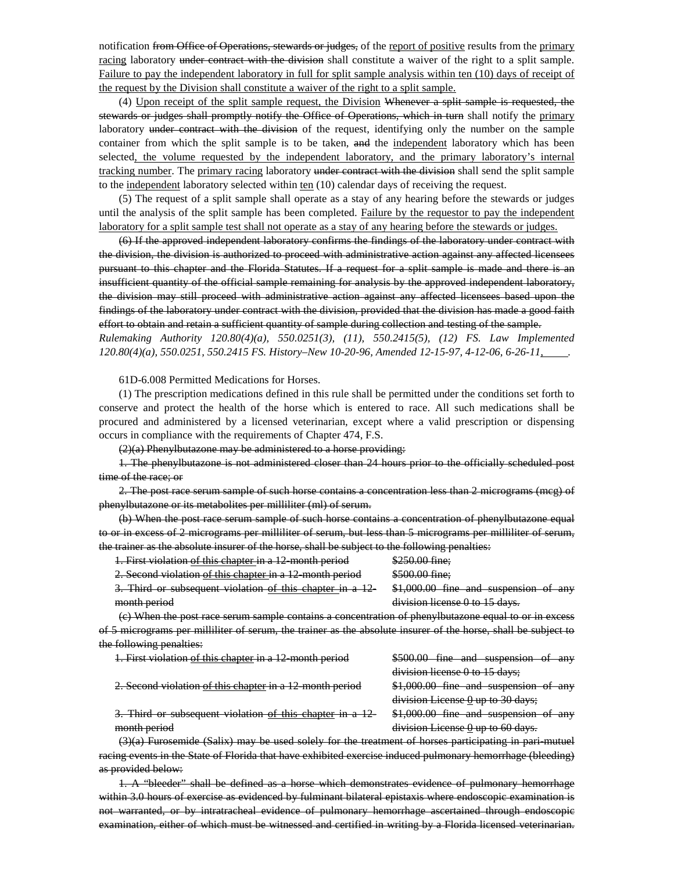notification from Office of Operations, stewards or judges, of the report of positive results from the primary racing laboratory under contract with the division shall constitute a waiver of the right to a split sample. Failure to pay the independent laboratory in full for split sample analysis within ten (10) days of receipt of the request by the Division shall constitute a waiver of the right to a split sample.

(4) Upon receipt of the split sample request, the Division Whenever a split sample is requested, the stewards or judges shall promptly notify the Office of Operations, which in turn shall notify the primary laboratory under contract with the division of the request, identifying only the number on the sample container from which the split sample is to be taken, and the independent laboratory which has been selected, the volume requested by the independent laboratory, and the primary laboratory's internal tracking number. The primary racing laboratory under contract with the division shall send the split sample to the independent laboratory selected within ten (10) calendar days of receiving the request.

(5) The request of a split sample shall operate as a stay of any hearing before the stewards or judges until the analysis of the split sample has been completed. Failure by the requestor to pay the independent laboratory for a split sample test shall not operate as a stay of any hearing before the stewards or judges.

(6) If the approved independent laboratory confirms the findings of the laboratory under contract with the division, the division is authorized to proceed with administrative action against any affected licensees pursuant to this chapter and the Florida Statutes. If a request for a split sample is made and there is an insufficient quantity of the official sample remaining for analysis by the approved independent laboratory, the division may still proceed with administrative action against any affected licensees based upon the findings of the laboratory under contract with the division, provided that the division has made a good faith effort to obtain and retain a sufficient quantity of sample during collection and testing of the sample.

*Rulemaking Authority 120.80(4)(a), 550.0251(3), (11), 550.2415(5), (12) FS. Law Implemented 120.80(4)(a), 550.0251, 550.2415 FS. History–New 10-20-96, Amended 12-15-97, 4-12-06, 6-26-11, .*

61D-6.008 Permitted Medications for Horses.

(1) The prescription medications defined in this rule shall be permitted under the conditions set forth to conserve and protect the health of the horse which is entered to race. All such medications shall be procured and administered by a licensed veterinarian, except where a valid prescription or dispensing occurs in compliance with the requirements of Chapter 474, F.S.

(2)(a) Phenylbutazone may be administered to a horse providing:

1. The phenylbutazone is not administered closer than 24 hours prior to the officially scheduled post time of the race; or

2. The post race serum sample of such horse contains a concentration less than 2 micrograms (mcg) of phenylbutazone or its metabolites per milliliter (ml) of serum.

(b) When the post race serum sample of such horse contains a concentration of phenylbutazone equal to or in excess of 2 micrograms per milliliter of serum, but less than 5 micrograms per milliliter of serum, the trainer as the absolute insurer of the horse, shall be subject to the following penalties:

| 1. First violation of this chapter in a 12 month period   | \$250.00 fine:                         |
|-----------------------------------------------------------|----------------------------------------|
| 2. Second violation of this chapter in a 12 month period  | \$500.00 fine:                         |
| 3. Third or subsequent violation of this chapter in a 12- | $$1,000.00$ fine and suspension of any |
| month period                                              | division license 0 to 15 days.         |
|                                                           |                                        |

(c) When the post race serum sample contains a concentration of phenylbutazone equal to or in excess of 5 micrograms per milliliter of serum, the trainer as the absolute insurer of the horse, shall be subject to the following penalties:

| 1. First violation of this chapter in a 12 month period                                                 | \$500.00 fine and suspension of<br>anv   |
|---------------------------------------------------------------------------------------------------------|------------------------------------------|
|                                                                                                         | division license 0 to 15 days;           |
| 2. Second violation of this chapter in a 12 month period                                                | \$1,000.00 fine and suspension of any    |
|                                                                                                         | division License 0 up to 30 days;        |
| 3. Third or subsequent violation of this chapter in a 12                                                | \$1,000.00 fine and suspension of any    |
| month period                                                                                            | division License $\theta$ up to 60 days. |
| $(3)(3)$ Furosamida $(S_2)$ may be used solely for the treatment of horses participating in part mutual |                                          |

(3)(a) Furosemide (Salix) may be used solely for the treatment of horses participating in pari-mutuel racing events in the State of Florida that have exhibited exercise induced pulmonary hemorrhage (bleeding) as provided below:

1. A "bleeder" shall be defined as a horse which demonstrates evidence of pulmonary hemorrhage within 3.0 hours of exercise as evidenced by fulminant bilateral epistaxis where endoscopic examination is not warranted, or by intratracheal evidence of pulmonary hemorrhage ascertained through endoscopic examination, either of which must be witnessed and certified in writing by a Florida licensed veterinarian.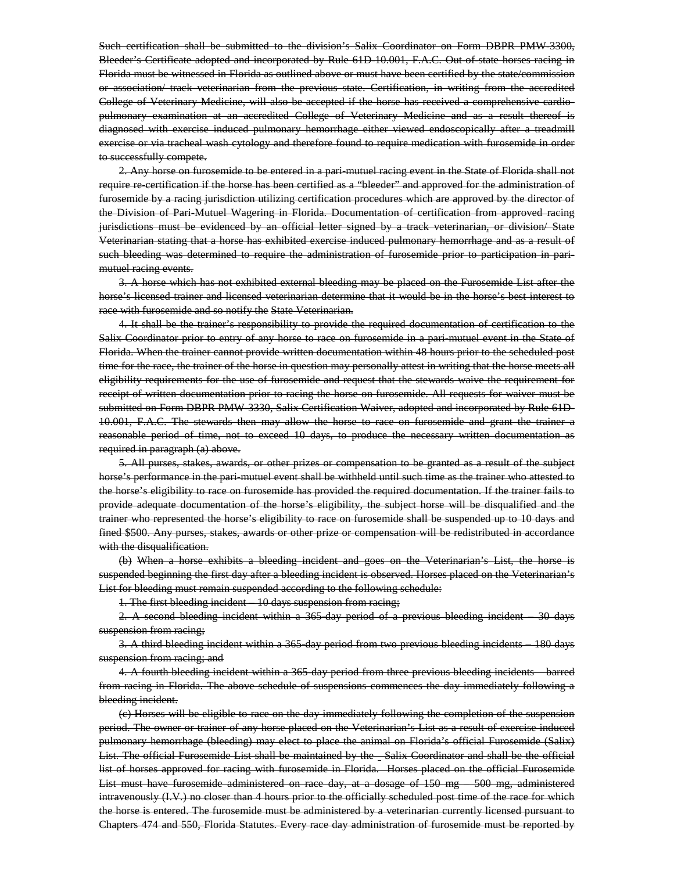Such certification shall be submitted to the division's Salix Coordinator on Form DBPR PMW-3300, Bleeder's Certificate adopted and incorporated by Rule 61D 10.001, F.A.C. Out of state horses racing in Florida must be witnessed in Florida as outlined above or must have been certified by the state/commission or association/ track veterinarian from the previous state. Certification, in writing from the accredited College of Veterinary Medicine, will also be accepted if the horse has received a comprehensive cardiopulmonary examination at an accredited College of Veterinary Medicine and as a result thereof is diagnosed with exercise induced pulmonary hemorrhage either viewed endoscopically after a treadmill exercise or via tracheal wash cytology and therefore found to require medication with furosemide in order to successfully compete.

2. Any horse on furosemide to be entered in a pari-mutuel racing event in the State of Florida shall not require re-certification if the horse has been certified as a "bleeder" and approved for the administration of furosemide by a racing jurisdiction utilizing certification procedures which are approved by the director of the Division of Pari-Mutuel Wagering in Florida. Documentation of certification from approved racing jurisdictions must be evidenced by an official letter signed by a track veterinarian, or division/ State Veterinarian stating that a horse has exhibited exercise induced pulmonary hemorrhage and as a result of such bleeding was determined to require the administration of furosemide prior to participation in parimutuel racing events.

3. A horse which has not exhibited external bleeding may be placed on the Furosemide List after the horse's licensed trainer and licensed veterinarian determine that it would be in the horse's best interest to race with furosemide and so notify the State Veterinarian.

4. It shall be the trainer's responsibility to provide the required documentation of certification to the Salix Coordinator prior to entry of any horse to race on furosemide in a pari-mutuel event in the State of Florida. When the trainer cannot provide written documentation within 48 hours prior to the scheduled post time for the race, the trainer of the horse in question may personally attest in writing that the horse meets all eligibility requirements for the use of furosemide and request that the stewards waive the requirement for receipt of written documentation prior to racing the horse on furosemide. All requests for waiver must be submitted on Form DBPR PMW-3330, Salix Certification Waiver, adopted and incorporated by Rule 61D-10.001, F.A.C. The stewards then may allow the horse to race on furosemide and grant the trainer a reasonable period of time, not to exceed 10 days, to produce the necessary written documentation as required in paragraph (a) above.

5. All purses, stakes, awards, or other prizes or compensation to be granted as a result of the subject horse's performance in the pari-mutuel event shall be withheld until such time as the trainer who attested to the horse's eligibility to race on furosemide has provided the required documentation. If the trainer fails to provide adequate documentation of the horse's eligibility, the subject horse will be disqualified and the trainer who represented the horse's eligibility to race on furosemide shall be suspended up to 10 days and fined \$500. Any purses, stakes, awards or other prize or compensation will be redistributed in accordance with the disqualification.

(b) When a horse exhibits a bleeding incident and goes on the Veterinarian's List, the horse is suspended beginning the first day after a bleeding incident is observed. Horses placed on the Veterinarian's List for bleeding must remain suspended according to the following schedule:

1. The first bleeding incident – 10 days suspension from racing;

2. A second bleeding incident within a 365-day period of a previous bleeding incident – 30 days suspension from racing;

3. A third bleeding incident within a 365-day period from two previous bleeding incidents – 180 days suspension from racing; and

4. A fourth bleeding incident within a 365-day period from three previous bleeding incidents – barred from racing in Florida. The above schedule of suspensions commences the day immediately following a bleeding incident.

(c) Horses will be eligible to race on the day immediately following the completion of the suspension period. The owner or trainer of any horse placed on the Veterinarian's List as a result of exercise induced pulmonary hemorrhage (bleeding) may elect to place the animal on Florida's official Furosemide (Salix) List. The official Furosemide List shall be maintained by the - Salix Coordinator and shall be the official list of horses approved for racing with furosemide in Florida. Horses placed on the official Furosemide List must have furosemide administered on race day, at a dosage of 150 mg – 500 mg, administered intravenously (I.V.) no closer than 4 hours prior to the officially scheduled post time of the race for which the horse is entered. The furosemide must be administered by a veterinarian currently licensed pursuant to Chapters 474 and 550, Florida Statutes. Every race day administration of furosemide must be reported by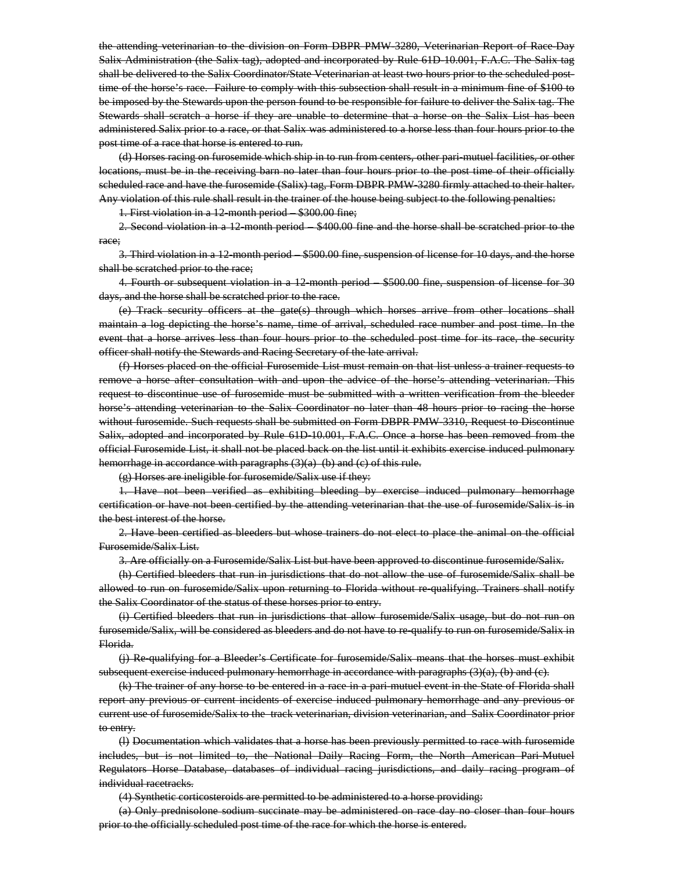the attending veterinarian to the division on Form DBPR PMW-3280, Veterinarian Report of Race-Day Salix Administration (the Salix tag), adopted and incorporated by Rule 61D-10.001, F.A.C. The Salix tag shall be delivered to the Salix Coordinator/State Veterinarian at least two hours prior to the scheduled posttime of the horse's race. Failure to comply with this subsection shall result in a minimum fine of \$100 to be imposed by the Stewards upon the person found to be responsible for failure to deliver the Salix tag. The Stewards shall scratch a horse if they are unable to determine that a horse on the Salix List has been administered Salix prior to a race, or that Salix was administered to a horse less than four hours prior to the post time of a race that horse is entered to run.

(d) Horses racing on furosemide which ship in to run from centers, other pari-mutuel facilities, or other locations, must be in the receiving barn no later than four hours prior to the post time of their officially scheduled race and have the furosemide (Salix) tag, Form DBPR PMW-3280 firmly attached to their halter. Any violation of this rule shall result in the trainer of the house being subject to the following penalties:

1. First violation in a 12-month period – \$300.00 fine;

2. Second violation in a 12 month period – \$400.00 fine and the horse shall be scratched prior to the race;

3. Third violation in a 12-month period – \$500.00 fine, suspension of license for 10 days, and the horse shall be scratched prior to the race;

4. Fourth or subsequent violation in a 12 month period – \$500.00 fine, suspension of license for 30 days, and the horse shall be scratched prior to the race.

(e) Track security officers at the gate(s) through which horses arrive from other locations shall maintain a log depicting the horse's name, time of arrival, scheduled race number and post time. In the event that a horse arrives less than four hours prior to the scheduled post time for its race, the security officer shall notify the Stewards and Racing Secretary of the late arrival.

(f) Horses placed on the official Furosemide List must remain on that list unless a trainer requests to remove a horse after consultation with and upon the advice of the horse's attending veterinarian. This request to discontinue use of furosemide must be submitted with a written verification from the bleeder horse's attending veterinarian to the Salix Coordinator no later than 48 hours prior to racing the horse without furosemide. Such requests shall be submitted on Form DBPR PMW-3310, Request to Discontinue Salix, adopted and incorporated by Rule 61D-10.001, F.A.C. Once a horse has been removed from the official Furosemide List, it shall not be placed back on the list until it exhibits exercise induced pulmonary hemorrhage in accordance with paragraphs (3)(a) (b) and (c) of this rule.

(g) Horses are ineligible for furosemide/Salix use if they:

1. Have not been verified as exhibiting bleeding by exercise induced pulmonary hemorrhage certification or have not been certified by the attending veterinarian that the use of furosemide/Salix is in the best interest of the horse.

2. Have been certified as bleeders but whose trainers do not elect to place the animal on the official Furosemide/Salix List.

3. Are officially on a Furosemide/Salix List but have been approved to discontinue furosemide/Salix.

(h) Certified bleeders that run in jurisdictions that do not allow the use of furosemide/Salix shall be allowed to run on furosemide/Salix upon returning to Florida without re-qualifying. Trainers shall notify the Salix Coordinator of the status of these horses prior to entry.

(i) Certified bleeders that run in jurisdictions that allow furosemide/Salix usage, but do not run on furosemide/Salix, will be considered as bleeders and do not have to re-qualify to run on furosemide/Salix in Florida.

(j) Re-qualifying for a Bleeder's Certificate for furosemide/Salix means that the horses must exhibit subsequent exercise induced pulmonary hemorrhage in accordance with paragraphs  $(3)(a)$ ,  $(b)$  and  $(c)$ .

(k) The trainer of any horse to be entered in a race in a pari-mutuel event in the State of Florida shall report any previous or current incidents of exercise induced pulmonary hemorrhage and any previous or current use of furosemide/Salix to the track veterinarian, division veterinarian, and Salix Coordinator prior to entry.

(l) Documentation which validates that a horse has been previously permitted to race with furosemide includes, but is not limited to, the National Daily Racing Form, the North American Pari-Mutuel Regulators Horse Database, databases of individual racing jurisdictions, and daily racing program of individual racetracks.

(4) Synthetic corticosteroids are permitted to be administered to a horse providing:

(a) Only prednisolone sodium succinate may be administered on race day no closer than four hours prior to the officially scheduled post time of the race for which the horse is entered.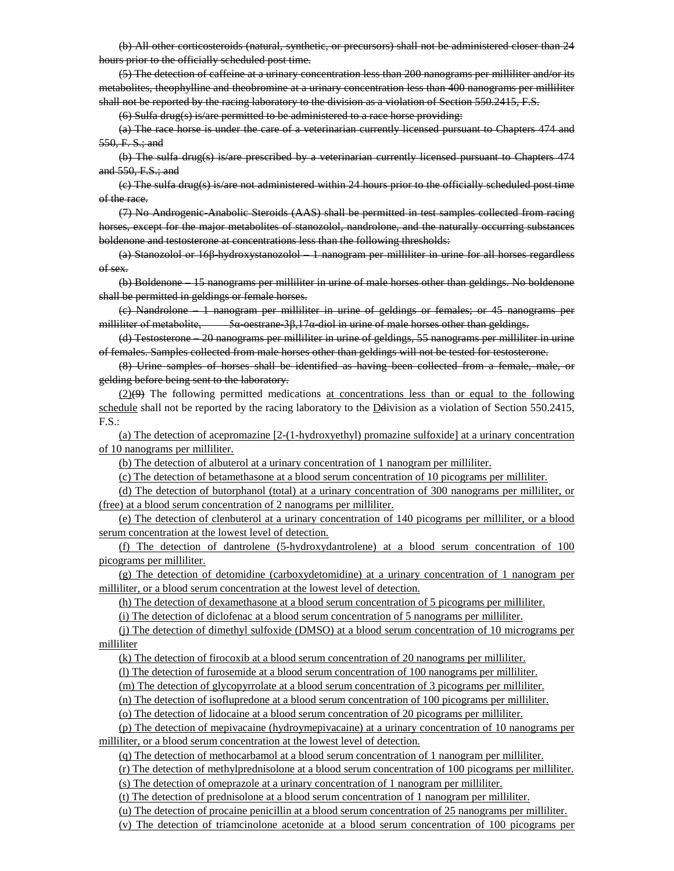(b) All other corticosteroids (natural, synthetic, or precursors) shall not be administered closer than 24 hours prior to the officially scheduled post time.

(5) The detection of caffeine at a urinary concentration less than 200 nanograms per milliliter and/or its metabolites, theophylline and theobromine at a urinary concentration less than 400 nanograms per milliliter shall not be reported by the racing laboratory to the division as a violation of Section 550.2415, F.S.

(6) Sulfa drug(s) is/are permitted to be administered to a race horse providing:

(a) The race horse is under the care of a veterinarian currently licensed pursuant to Chapters 474 and  $550$ , F. S.; and

(b) The sulfa drug(s) is/are prescribed by a veterinarian currently licensed pursuant to Chapters 474 and 550, F.S.; and

(c) The sulfa drug(s) is/are not administered within 24 hours prior to the officially scheduled post time of the race.

(7) No Androgenic-Anabolic Steroids (AAS) shall be permitted in test samples collected from racing horses, except for the major metabolites of stanozolol, nandrolone, and the naturally occurring substances boldenone and testosterone at concentrations less than the following thresholds:

(a) Stanozolol or 16β-hydroxystanozolol – 1 nanogram per milliliter in urine for all horses regardless of sex.

(b) Boldenone – 15 nanograms per milliliter in urine of male horses other than geldings. No boldenone shall be permitted in geldings or female horses.

(c) Nandrolone – 1 nanogram per milliliter in urine of geldings or females; or 45 nanograms per milliliter of metabolite, 5α-oestrane-3β,17α-diol in urine of male horses other than geldings.

(d) Testosterone – 20 nanograms per milliliter in urine of geldings, 55 nanograms per milliliter in urine of females. Samples collected from male horses other than geldings will not be tested for testosterone.

(8) Urine samples of horses shall be identified as having been collected from a female, male, or gelding before being sent to the laboratory.

(2)(9) The following permitted medications at concentrations less than or equal to the following schedule shall not be reported by the racing laboratory to the Ddivision as a violation of Section 550.2415,  $F.S.$ :

(a) The detection of acepromazine [2-(1-hydroxyethyl) promazine sulfoxide] at a urinary concentration of 10 nanograms per milliliter.

(b) The detection of albuterol at a urinary concentration of 1 nanogram per milliliter.

(c) The detection of betamethasone at a blood serum concentration of 10 picograms per milliliter.

(d) The detection of butorphanol (total) at a urinary concentration of 300 nanograms per milliliter, or (free) at a blood serum concentration of 2 nanograms per milliliter.

(e) The detection of clenbuterol at a urinary concentration of 140 picograms per milliliter, or a blood serum concentration at the lowest level of detection.

(f) The detection of dantrolene (5-hydroxydantrolene) at a blood serum concentration of 100 picograms per milliliter.

(g) The detection of detomidine (carboxydetomidine) at a urinary concentration of 1 nanogram per milliliter, or a blood serum concentration at the lowest level of detection.

(h) The detection of dexamethasone at a blood serum concentration of 5 picograms per milliliter.

(i) The detection of diclofenac at a blood serum concentration of 5 nanograms per milliliter.

(j) The detection of dimethyl sulfoxide (DMSO) at a blood serum concentration of 10 micrograms per milliliter

(k) The detection of firocoxib at a blood serum concentration of 20 nanograms per milliliter.

(l) The detection of furosemide at a blood serum concentration of 100 nanograms per milliliter.

(m) The detection of glycopyrrolate at a blood serum concentration of 3 picograms per milliliter.

(n) The detection of isoflupredone at a blood serum concentration of 100 picograms per milliliter.

(o) The detection of lidocaine at a blood serum concentration of 20 picograms per milliliter.

(p) The detection of mepivacaine (hydroymepivacaine) at a urinary concentration of 10 nanograms per milliliter, or a blood serum concentration at the lowest level of detection.

(q) The detection of methocarbamol at a blood serum concentration of 1 nanogram per milliliter.

(r) The detection of methylprednisolone at a blood serum concentration of 100 picograms per milliliter.

(s) The detection of omeprazole at a urinary concentration of 1 nanogram per milliliter.

(t) The detection of prednisolone at a blood serum concentration of 1 nanogram per milliliter.

(u) The detection of procaine penicillin at a blood serum concentration of 25 nanograms per milliliter.

(v) The detection of triamcinolone acetonide at a blood serum concentration of 100 picograms per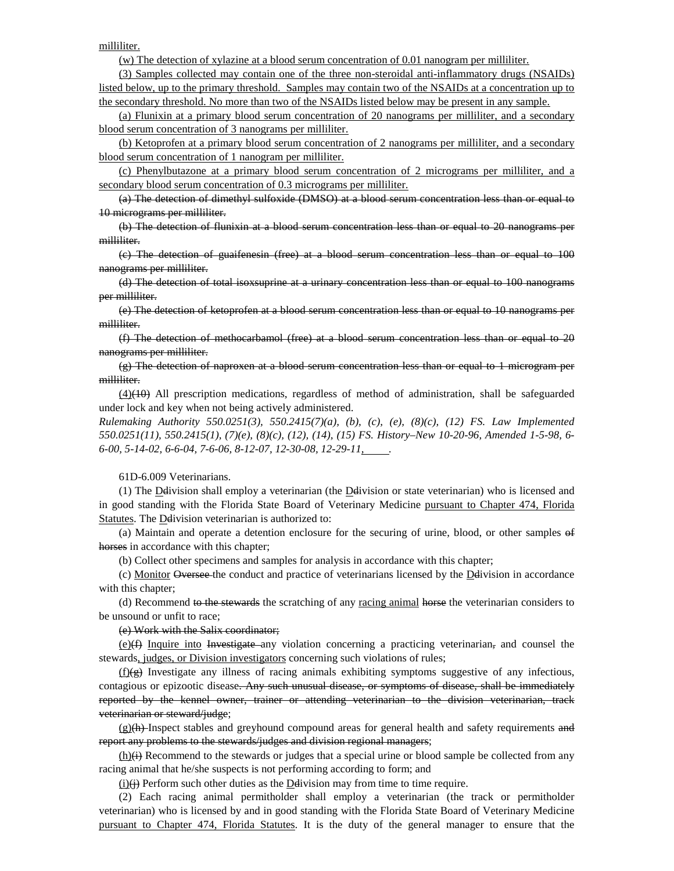milliliter.

(w) The detection of xylazine at a blood serum concentration of 0.01 nanogram per milliliter.

(3) Samples collected may contain one of the three non-steroidal anti-inflammatory drugs (NSAIDs) listed below, up to the primary threshold. Samples may contain two of the NSAIDs at a concentration up to the secondary threshold. No more than two of the NSAIDs listed below may be present in any sample.

(a) Flunixin at a primary blood serum concentration of 20 nanograms per milliliter, and a secondary blood serum concentration of 3 nanograms per milliliter.

(b) Ketoprofen at a primary blood serum concentration of 2 nanograms per milliliter, and a secondary blood serum concentration of 1 nanogram per milliliter.

(c) Phenylbutazone at a primary blood serum concentration of 2 micrograms per milliliter, and a secondary blood serum concentration of 0.3 micrograms per milliliter.

(a) The detection of dimethyl sulfoxide (DMSO) at a blood serum concentration less than or equal to 10 micrograms per milliliter.

(b) The detection of flunixin at a blood serum concentration less than or equal to 20 nanograms per milliliter.

(c) The detection of guaifenesin (free) at a blood serum concentration less than or equal to 100 nanograms per milliliter.

(d) The detection of total isoxsuprine at a urinary concentration less than or equal to 100 nanograms per milliliter.

(e) The detection of ketoprofen at a blood serum concentration less than or equal to 10 nanograms per milliliter.

(f) The detection of methocarbamol (free) at a blood serum concentration less than or equal to 20 nanograms per milliliter.

(g) The detection of naproxen at a blood serum concentration less than or equal to 1 microgram per milliliter.

 $(4)(40)$  All prescription medications, regardless of method of administration, shall be safeguarded under lock and key when not being actively administered.

*Rulemaking Authority 550.0251(3), 550.2415(7)(a), (b), (c), (e), (8)(c), (12) FS. Law Implemented 550.0251(11), 550.2415(1), (7)(e), (8)(c), (12), (14), (15) FS. History–New 10-20-96, Amended 1-5-98, 6- 6-00, 5-14-02, 6-6-04, 7-6-06, 8-12-07, 12-30-08, 12-29-11, .*

61D-6.009 Veterinarians.

(1) The Ddivision shall employ a veterinarian (the Ddivision or state veterinarian) who is licensed and in good standing with the Florida State Board of Veterinary Medicine pursuant to Chapter 474, Florida Statutes. The Delivision veterinarian is authorized to:

(a) Maintain and operate a detention enclosure for the securing of urine, blood, or other samples of horses in accordance with this chapter;

(b) Collect other specimens and samples for analysis in accordance with this chapter;

(c) Monitor Oversee the conduct and practice of veterinarians licensed by the Ddivision in accordance with this chapter;

(d) Recommend to the stewards the scratching of any racing animal horse the veterinarian considers to be unsound or unfit to race;

(e) Work with the Salix coordinator;

 $(e)$  Inquire into Investigate any violation concerning a practicing veterinarian, and counsel the stewards, judges, or Division investigators concerning such violations of rules;

 $(f)(g)$  Investigate any illness of racing animals exhibiting symptoms suggestive of any infectious, contagious or epizootic disease. Any such unusual disease, or symptoms of disease, shall be immediately reported by the kennel owner, trainer or attending veterinarian to the division veterinarian, track veterinarian or steward/judge;

 $(g)(h)$ -Inspect stables and greyhound compound areas for general health and safety requirements and report any problems to the stewards/judges and division regional managers;

(h)(i) Recommend to the stewards or judges that a special urine or blood sample be collected from any racing animal that he/she suspects is not performing according to form; and

 $(i)(i)$  Perform such other duties as the Delivision may from time to time require.

(2) Each racing animal permitholder shall employ a veterinarian (the track or permitholder veterinarian) who is licensed by and in good standing with the Florida State Board of Veterinary Medicine pursuant to Chapter 474, Florida Statutes. It is the duty of the general manager to ensure that the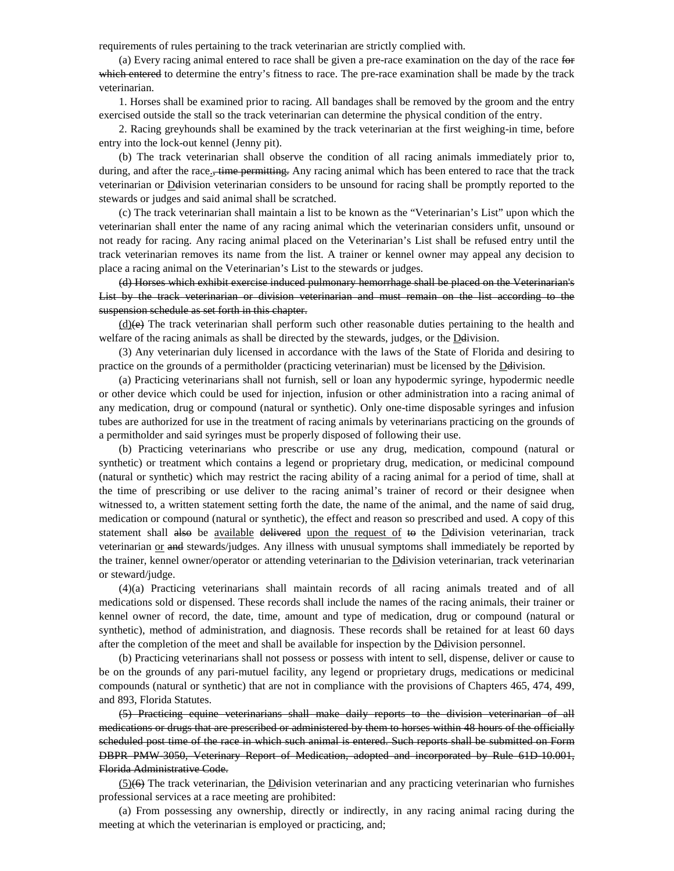requirements of rules pertaining to the track veterinarian are strictly complied with.

(a) Every racing animal entered to race shall be given a pre-race examination on the day of the race for which entered to determine the entry's fitness to race. The pre-race examination shall be made by the track veterinarian.

1. Horses shall be examined prior to racing. All bandages shall be removed by the groom and the entry exercised outside the stall so the track veterinarian can determine the physical condition of the entry.

2. Racing greyhounds shall be examined by the track veterinarian at the first weighing-in time, before entry into the lock-out kennel (Jenny pit).

(b) The track veterinarian shall observe the condition of all racing animals immediately prior to, during, and after the race.<del>, time permitting.</del> Any racing animal which has been entered to race that the track veterinarian or Ddivision veterinarian considers to be unsound for racing shall be promptly reported to the stewards or judges and said animal shall be scratched.

(c) The track veterinarian shall maintain a list to be known as the "Veterinarian's List" upon which the veterinarian shall enter the name of any racing animal which the veterinarian considers unfit, unsound or not ready for racing. Any racing animal placed on the Veterinarian's List shall be refused entry until the track veterinarian removes its name from the list. A trainer or kennel owner may appeal any decision to place a racing animal on the Veterinarian's List to the stewards or judges.

(d) Horses which exhibit exercise induced pulmonary hemorrhage shall be placed on the Veterinarian's List by the track veterinarian or division veterinarian and must remain on the list according to the suspension schedule as set forth in this chapter.

 $(d)$ (e) The track veterinarian shall perform such other reasonable duties pertaining to the health and welfare of the racing animals as shall be directed by the stewards, judges, or the Delivision.

(3) Any veterinarian duly licensed in accordance with the laws of the State of Florida and desiring to practice on the grounds of a permitholder (practicing veterinarian) must be licensed by the Ddivision.

(a) Practicing veterinarians shall not furnish, sell or loan any hypodermic syringe, hypodermic needle or other device which could be used for injection, infusion or other administration into a racing animal of any medication, drug or compound (natural or synthetic). Only one-time disposable syringes and infusion tubes are authorized for use in the treatment of racing animals by veterinarians practicing on the grounds of a permitholder and said syringes must be properly disposed of following their use.

(b) Practicing veterinarians who prescribe or use any drug, medication, compound (natural or synthetic) or treatment which contains a legend or proprietary drug, medication, or medicinal compound (natural or synthetic) which may restrict the racing ability of a racing animal for a period of time, shall at the time of prescribing or use deliver to the racing animal's trainer of record or their designee when witnessed to, a written statement setting forth the date, the name of the animal, and the name of said drug, medication or compound (natural or synthetic), the effect and reason so prescribed and used. A copy of this statement shall also be available delivered upon the request of to the Delivision veterinarian, track veterinarian or and stewards/judges. Any illness with unusual symptoms shall immediately be reported by the trainer, kennel owner/operator or attending veterinarian to the Ddivision veterinarian, track veterinarian or steward/judge.

(4)(a) Practicing veterinarians shall maintain records of all racing animals treated and of all medications sold or dispensed. These records shall include the names of the racing animals, their trainer or kennel owner of record, the date, time, amount and type of medication, drug or compound (natural or synthetic), method of administration, and diagnosis. These records shall be retained for at least 60 days after the completion of the meet and shall be available for inspection by the Ddivision personnel.

(b) Practicing veterinarians shall not possess or possess with intent to sell, dispense, deliver or cause to be on the grounds of any pari-mutuel facility, any legend or proprietary drugs, medications or medicinal compounds (natural or synthetic) that are not in compliance with the provisions of Chapters 465, 474, 499, and 893, Florida Statutes.

(5) Practicing equine veterinarians shall make daily reports to the division veterinarian of all medications or drugs that are prescribed or administered by them to horses within 48 hours of the officially scheduled post time of the race in which such animal is entered. Such reports shall be submitted on Form DBPR PMW-3050, Veterinary Report of Medication, adopted and incorporated by Rule 61D-10.001, Florida Administrative Code.

 $(5)$ (6) The track veterinarian, the Delivision veterinarian and any practicing veterinarian who furnishes professional services at a race meeting are prohibited:

(a) From possessing any ownership, directly or indirectly, in any racing animal racing during the meeting at which the veterinarian is employed or practicing, and;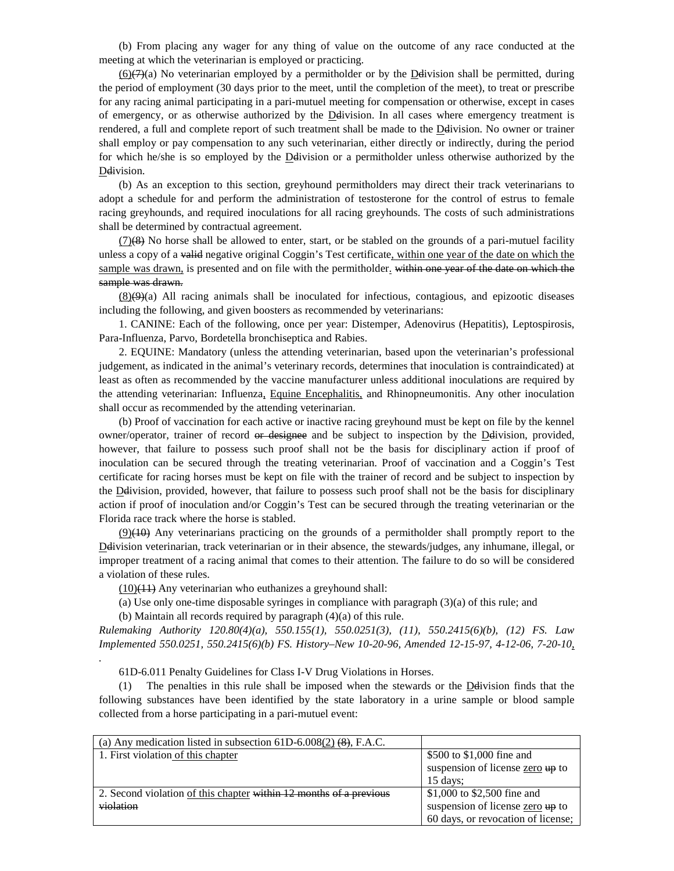(b) From placing any wager for any thing of value on the outcome of any race conducted at the meeting at which the veterinarian is employed or practicing.

 $(6)$ ( $7$ )(a) No veterinarian employed by a permitholder or by the Delivision shall be permitted, during the period of employment (30 days prior to the meet, until the completion of the meet), to treat or prescribe for any racing animal participating in a pari-mutuel meeting for compensation or otherwise, except in cases of emergency, or as otherwise authorized by the Delivision. In all cases where emergency treatment is rendered, a full and complete report of such treatment shall be made to the Ddivision. No owner or trainer shall employ or pay compensation to any such veterinarian, either directly or indirectly, during the period for which he/she is so employed by the Ddivision or a permitholder unless otherwise authorized by the Ddivision.

(b) As an exception to this section, greyhound permitholders may direct their track veterinarians to adopt a schedule for and perform the administration of testosterone for the control of estrus to female racing greyhounds, and required inoculations for all racing greyhounds. The costs of such administrations shall be determined by contractual agreement.

 $(7)(8)$  No horse shall be allowed to enter, start, or be stabled on the grounds of a pari-mutuel facility unless a copy of a valid negative original Coggin's Test certificate, within one year of the date on which the sample was drawn, is presented and on file with the permitholder. within one year of the date on which the sample was drawn.

 $(8)(9)(4)$  All racing animals shall be inoculated for infectious, contagious, and epizootic diseases including the following, and given boosters as recommended by veterinarians:

1. CANINE: Each of the following, once per year: Distemper, Adenovirus (Hepatitis), Leptospirosis, Para-Influenza, Parvo, Bordetella bronchiseptica and Rabies.

2. EQUINE: Mandatory (unless the attending veterinarian, based upon the veterinarian's professional judgement, as indicated in the animal's veterinary records, determines that inoculation is contraindicated) at least as often as recommended by the vaccine manufacturer unless additional inoculations are required by the attending veterinarian: Influenza, Equine Encephalitis, and Rhinopneumonitis. Any other inoculation shall occur as recommended by the attending veterinarian.

(b) Proof of vaccination for each active or inactive racing greyhound must be kept on file by the kennel owner/operator, trainer of record or designee and be subject to inspection by the Delivision, provided, however, that failure to possess such proof shall not be the basis for disciplinary action if proof of inoculation can be secured through the treating veterinarian. Proof of vaccination and a Coggin's Test certificate for racing horses must be kept on file with the trainer of record and be subject to inspection by the Ddivision, provided, however, that failure to possess such proof shall not be the basis for disciplinary action if proof of inoculation and/or Coggin's Test can be secured through the treating veterinarian or the Florida race track where the horse is stabled.

 $(9)$ (40) Any veterinarians practicing on the grounds of a permitholder shall promptly report to the Ddivision veterinarian, track veterinarian or in their absence, the stewards/judges, any inhumane, illegal, or improper treatment of a racing animal that comes to their attention. The failure to do so will be considered a violation of these rules.

 $(10)$ (11) Any veterinarian who euthanizes a greyhound shall:

*.*

(a) Use only one-time disposable syringes in compliance with paragraph (3)(a) of this rule; and

(b) Maintain all records required by paragraph (4)(a) of this rule.

*Rulemaking Authority 120.80(4)(a), 550.155(1), 550.0251(3), (11), 550.2415(6)(b), (12) FS. Law Implemented 550.0251, 550.2415(6)(b) FS. History–New 10-20-96, Amended 12-15-97, 4-12-06, 7-20-10,* 

61D-6.011 Penalty Guidelines for Class I-V Drug Violations in Horses.

(1) The penalties in this rule shall be imposed when the stewards or the Ddivision finds that the following substances have been identified by the state laboratory in a urine sample or blood sample collected from a horse participating in a pari-mutuel event:

| (a) Any medication listed in subsection $61D-6.008(2)$ (8), F.A.C. |                                             |
|--------------------------------------------------------------------|---------------------------------------------|
| 1. First violation of this chapter                                 | \$500 to \$1,000 fine and                   |
|                                                                    | suspension of license zero $\frac{1}{2}$ to |
|                                                                    | $15$ days:                                  |
| 2. Second violation of this chapter within 12 months of a previous | \$1,000 to \$2,500 fine and                 |
| violation                                                          | suspension of license zero up to            |
|                                                                    | 60 days, or revocation of license;          |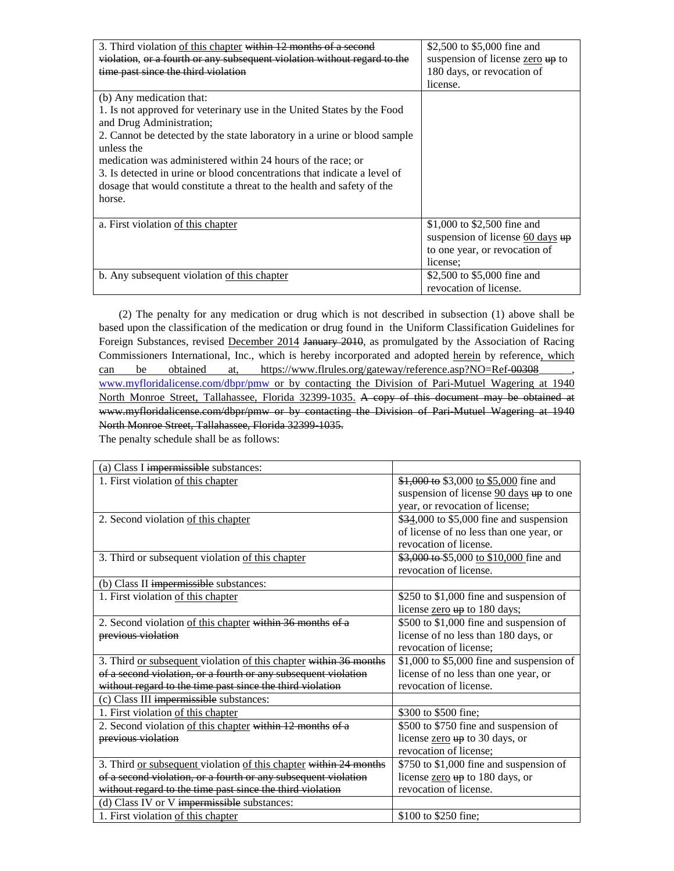| 3. Third violation of this chapter within 12 months of a second          | \$2,500 to \$5,000 fine and                |
|--------------------------------------------------------------------------|--------------------------------------------|
| violation, or a fourth or any subsequent violation without regard to the | suspension of license zero up to           |
| time past since the third violation                                      | 180 days, or revocation of                 |
|                                                                          | license.                                   |
| (b) Any medication that:                                                 |                                            |
| 1. Is not approved for veterinary use in the United States by the Food   |                                            |
| and Drug Administration;                                                 |                                            |
| 2. Cannot be detected by the state laboratory in a urine or blood sample |                                            |
| unless the                                                               |                                            |
| medication was administered within 24 hours of the race; or              |                                            |
| 3. Is detected in urine or blood concentrations that indicate a level of |                                            |
| dosage that would constitute a threat to the health and safety of the    |                                            |
| horse.                                                                   |                                            |
|                                                                          |                                            |
| a. First violation of this chapter                                       | \$1,000 to \$2,500 fine and                |
|                                                                          | suspension of license $60 \text{ days}$ up |
|                                                                          | to one year, or revocation of              |
|                                                                          | license:                                   |
| b. Any subsequent violation of this chapter                              | \$2,500 to \$5,000 fine and                |
|                                                                          | revocation of license.                     |

(2) The penalty for any medication or drug which is not described in subsection (1) above shall be based upon the classification of the medication or drug found in the Uniform Classification Guidelines for Foreign Substances, revised December 2014 January 2010, as promulgated by the Association of Racing Commissioners International, Inc., which is hereby incorporated and adopted herein by reference, which can be obtained at, https://www.flrules.org/gateway/reference.asp?NO=Ref-00308 [www.myfloridalicense.com/dbpr/pmw](http://www.myfloridalicense.com/dbpr/pmw) or by contacting the Division of Pari-Mutuel Wagering at 1940 North Monroe Street, Tallahassee, Florida 32399-1035. A copy of this document may be obtained at [www.myfloridalicense.com/dbpr/pmw](http://www.myfloridalicense.com/dbpr/pmw) or by contacting the Division of Pari-Mutuel Wagering at 1940 North Monroe Street, Tallahassee, Florida 32399-1035.

The penalty schedule shall be as follows:

| (a) Class I impermissible substances:                             |                                                                           |
|-------------------------------------------------------------------|---------------------------------------------------------------------------|
| 1. First violation of this chapter                                | \$1,000 to \$3,000 to \$5,000 fine and                                    |
|                                                                   | suspension of license $\frac{90 \text{ days}}{90 \text{ days}}$ up to one |
|                                                                   | year, or revocation of license;                                           |
| 2. Second violation of this chapter                               | \$34,000 to \$5,000 fine and suspension                                   |
|                                                                   | of license of no less than one year, or                                   |
|                                                                   | revocation of license.                                                    |
| 3. Third or subsequent violation of this chapter                  | \$3,000 to \$5,000 to \$10,000 fine and                                   |
|                                                                   | revocation of license.                                                    |
| (b) Class II impermissible substances:                            |                                                                           |
| 1. First violation of this chapter                                | \$250 to \$1,000 fine and suspension of                                   |
|                                                                   | license zero up to 180 days;                                              |
| 2. Second violation of this chapter within 36 months of a         | \$500 to \$1,000 fine and suspension of                                   |
| previous violation                                                | license of no less than 180 days, or                                      |
|                                                                   | revocation of license;                                                    |
| 3. Third or subsequent violation of this chapter within 36 months | $$1,000$ to $$5,000$ fine and suspension of                               |
| of a second violation, or a fourth or any subsequent violation    | license of no less than one year, or                                      |
| without regard to the time past since the third violation         | revocation of license.                                                    |
| (c) Class III impermissible substances:                           |                                                                           |
| 1. First violation of this chapter                                | \$300 to \$500 fine;                                                      |
| 2. Second violation of this chapter within 12 months of a         | \$500 to \$750 fine and suspension of                                     |
| previous violation                                                | license zero up to 30 days, or                                            |
|                                                                   | revocation of license;                                                    |
| 3. Third or subsequent violation of this chapter within 24 months | \$750 to \$1,000 fine and suspension of                                   |
| of a second violation, or a fourth or any subsequent violation    | license zero up to 180 days, or                                           |
| without regard to the time past since the third violation         | revocation of license.                                                    |
| (d) Class IV or V impermissible substances:                       |                                                                           |
| 1. First violation of this chapter                                | \$100 to \$250 fine;                                                      |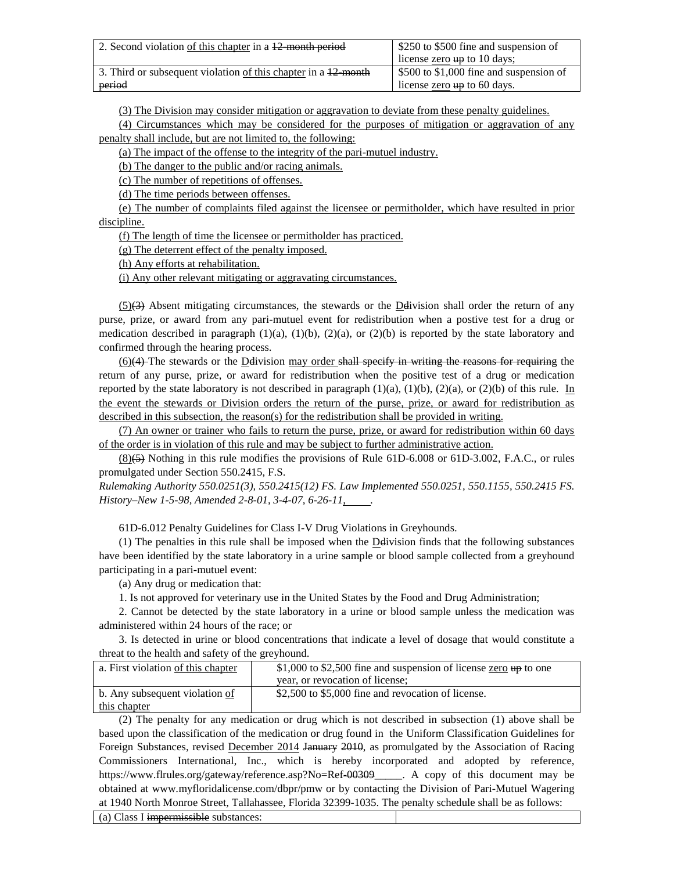| 2. Second violation of this chapter in a 12 month period       | \$250 to \$500 fine and suspension of<br>license zero $\frac{1}{2}$ to 10 days; |
|----------------------------------------------------------------|---------------------------------------------------------------------------------|
| 3. Third or subsequent violation of this chapter in a 12 month | $\frac{1}{2}$ \$500 to \$1,000 fine and suspension of                           |
| period                                                         | license $\frac{\text{zero}}{\text{up}}$ to 60 days.                             |

(3) The Division may consider mitigation or aggravation to deviate from these penalty guidelines.

(4) Circumstances which may be considered for the purposes of mitigation or aggravation of any penalty shall include, but are not limited to, the following:

(a) The impact of the offense to the integrity of the pari-mutuel industry.

(b) The danger to the public and/or racing animals.

(c) The number of repetitions of offenses.

(d) The time periods between offenses.

(e) The number of complaints filed against the licensee or permitholder, which have resulted in prior discipline.

(f) The length of time the licensee or permitholder has practiced.

(g) The deterrent effect of the penalty imposed.

(h) Any efforts at rehabilitation.

(i) Any other relevant mitigating or aggravating circumstances.

 $(5)$ (3) Absent mitigating circumstances, the stewards or the Delivision shall order the return of any purse, prize, or award from any pari-mutuel event for redistribution when a postive test for a drug or medication described in paragraph  $(1)(a)$ ,  $(1)(b)$ ,  $(2)(a)$ , or  $(2)(b)$  is reported by the state laboratory and confirmed through the hearing process.

 $(6)(4)$  The stewards or the Delivision may order shall specify in writing the reasons for requiring the return of any purse, prize, or award for redistribution when the positive test of a drug or medication reported by the state laboratory is not described in paragraph  $(1)(a)$ ,  $(1)(b)$ ,  $(2)(a)$ , or  $(2)(b)$  of this rule. In the event the stewards or Division orders the return of the purse, prize, or award for redistribution as described in this subsection, the reason(s) for the redistribution shall be provided in writing.

(7) An owner or trainer who fails to return the purse, prize, or award for redistribution within 60 days of the order is in violation of this rule and may be subject to further administrative action.

 $(8)(5)$  Nothing in this rule modifies the provisions of Rule 61D-6.008 or 61D-3.002, F.A.C., or rules promulgated under Section 550.2415, F.S.

*Rulemaking Authority 550.0251(3), 550.2415(12) FS. Law Implemented 550.0251, 550.1155, 550.2415 FS. History–New 1-5-98, Amended 2-8-01, 3-4-07, 6-26-11, .*

[61D-6.012](https://www.flrules.org/gateway/ruleNo.asp?id=61D-6.011) Penalty Guidelines for Class I-V Drug Violations in Greyhounds.

 $(1)$  The penalties in this rule shall be imposed when the **Deli**vision finds that the following substances have been identified by the state laboratory in a urine sample or blood sample collected from a greyhound participating in a pari-mutuel event:

(a) Any drug or medication that:

1. Is not approved for veterinary use in the United States by the Food and Drug Administration;

2. Cannot be detected by the state laboratory in a urine or blood sample unless the medication was administered within 24 hours of the race; or

3. Is detected in urine or blood concentrations that indicate a level of dosage that would constitute a threat to the health and safety of the greyhound.

| a. First violation of this chapter | \$1,000 to \$2,500 fine and suspension of license zero $\mu$ to one |  |  |
|------------------------------------|---------------------------------------------------------------------|--|--|
|                                    | year, or revocation of license;                                     |  |  |
| b. Any subsequent violation of     | \$2,500 to \$5,000 fine and revocation of license.                  |  |  |
| this chapter                       |                                                                     |  |  |

(2) The penalty for any medication or drug which is not described in subsection (1) above shall be based upon the classification of the medication or drug found in the Uniform Classification Guidelines for Foreign Substances, revised December 2014 January 2010, as promulgated by the Association of Racing Commissioners International, Inc., which is hereby incorporated and adopted by reference, [https://www.flrules.org/gateway/reference.asp?No=Ref-00309\\_](https://www.flrules.org/gateway/reference.asp?No=Ref-00309)\_\_\_\_. A copy of this document may be obtained at [www.myfloridalicense.com/dbpr/pmw](http://www.myfloridalicense.com/dbpr/pmw) or by contacting the Division of Pari-Mutuel Wagering at 1940 North Monroe Street, Tallahassee, Florida 32399-1035. The penalty schedule shall be as follows:

(a) Class I impermissible substances: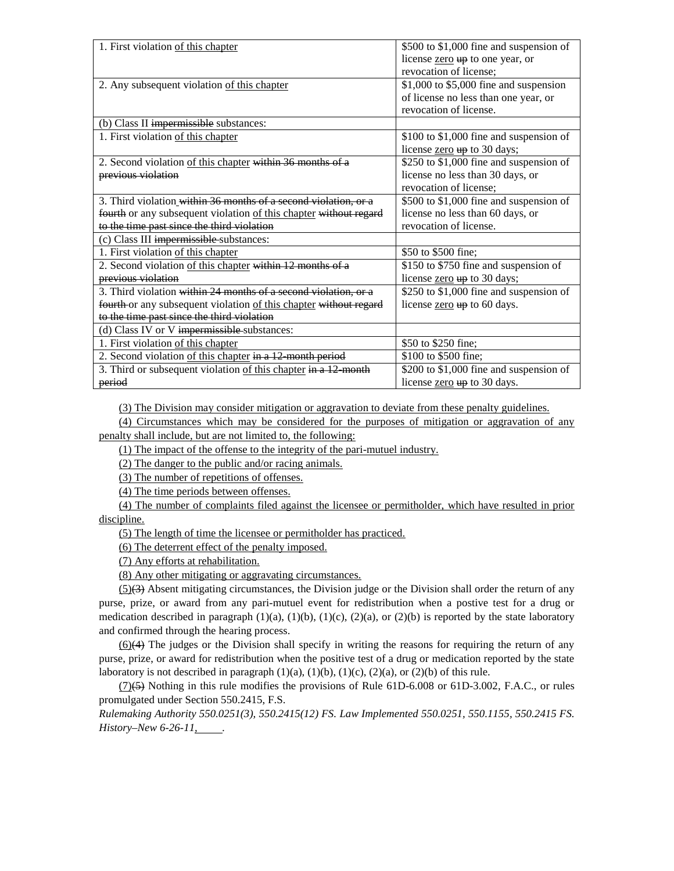| 1. First violation of this chapter                                | \$500 to \$1,000 fine and suspension of     |
|-------------------------------------------------------------------|---------------------------------------------|
|                                                                   | license zero up to one year, or             |
|                                                                   | revocation of license;                      |
| 2. Any subsequent violation of this chapter                       | $$1,000$ to $$5,000$ fine and suspension    |
|                                                                   | of license no less than one year, or        |
|                                                                   | revocation of license.                      |
| (b) Class II impermissible substances:                            |                                             |
| 1. First violation of this chapter                                | \$100 to \$1,000 fine and suspension of     |
|                                                                   | license zero up to 30 days;                 |
| 2. Second violation of this chapter within 36 months of a         | \$250 to \$1,000 fine and suspension of     |
| previous violation                                                | license no less than 30 days, or            |
|                                                                   | revocation of license:                      |
| 3. Third violation within 36 months of a second violation, or a   | \$500 to \$1,000 fine and suspension of     |
| fourth or any subsequent violation of this chapter without regard | license no less than 60 days, or            |
| to the time past since the third violation                        | revocation of license.                      |
| (c) Class III impermissible substances:                           |                                             |
| 1. First violation of this chapter                                | \$50 to \$500 fine;                         |
| 2. Second violation of this chapter within 12 months of a         | \$150 to \$750 fine and suspension of       |
| previous violation                                                | license zero up to 30 days;                 |
| 3. Third violation within 24 months of a second violation, or a   | \$250 to \$1,000 fine and suspension of     |
| fourth or any subsequent violation of this chapter without regard | license $\frac{\text{zero}}{4}$ to 60 days. |
| to the time past since the third violation                        |                                             |
| (d) Class IV or V impermissible substances:                       |                                             |
| 1. First violation of this chapter                                | \$50 to \$250 fine;                         |
| 2. Second violation of this chapter in a 12 month period          | \$100 to \$500 fine:                        |
| 3. Third or subsequent violation of this chapter in a 12 month    | \$200 to \$1,000 fine and suspension of     |
| period                                                            | license zero up to 30 days.                 |

(3) The Division may consider mitigation or aggravation to deviate from these penalty guidelines.

(4) Circumstances which may be considered for the purposes of mitigation or aggravation of any penalty shall include, but are not limited to, the following:

(1) The impact of the offense to the integrity of the pari-mutuel industry.

(2) The danger to the public and/or racing animals.

(3) The number of repetitions of offenses.

(4) The time periods between offenses.

(4) The number of complaints filed against the licensee or permitholder, which have resulted in prior discipline.

(5) The length of time the licensee or permitholder has practiced.

(6) The deterrent effect of the penalty imposed.

(7) Any efforts at rehabilitation.

(8) Any other mitigating or aggravating circumstances.

 $(5)$ (3) Absent mitigating circumstances, the Division judge or the Division shall order the return of any purse, prize, or award from any pari-mutuel event for redistribution when a postive test for a drug or medication described in paragraph (1)(a), (1)(b), (1)(c), (2)(a), or (2)(b) is reported by the state laboratory and confirmed through the hearing process.

 $(6)$ (4) The judges or the Division shall specify in writing the reasons for requiring the return of any purse, prize, or award for redistribution when the positive test of a drug or medication reported by the state laboratory is not described in paragraph  $(1)(a)$ ,  $(1)(b)$ ,  $(1)(c)$ ,  $(2)(a)$ , or  $(2)(b)$  of this rule.

 $(7)(5)$  Nothing in this rule modifies the provisions of Rule 61D-6.008 or 61D-3.002, F.A.C., or rules promulgated under Section 550.2415, F.S.

*Rulemaking Authority 550.0251(3), 550.2415(12) FS. Law Implemented 550.0251, 550.1155, 550.2415 FS. History–New 6-26-11, .*